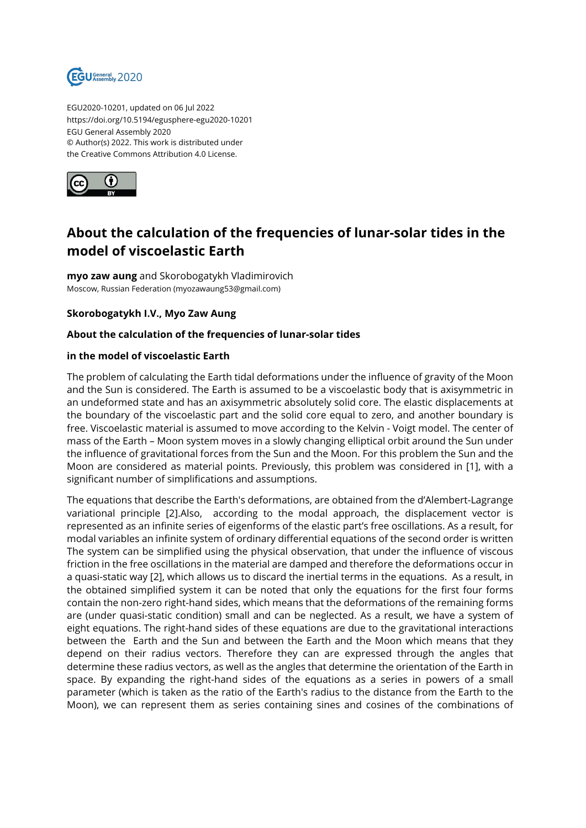

EGU2020-10201, updated on 06 Jul 2022 https://doi.org/10.5194/egusphere-egu2020-10201 EGU General Assembly 2020 © Author(s) 2022. This work is distributed under the Creative Commons Attribution 4.0 License.



## **About the calculation of the frequencies of lunar-solar tides in the model of viscoelastic Earth**

**myo zaw aung** and Skorobogatykh Vladimirovich Moscow, Russian Federation (myozawaung53@gmail.com)

**Skorobogatykh I.V., Myo Zaw Aung**

## **About the calculation of the frequencies of lunar-solar tides**

## **in the model of viscoelastic Earth**

The problem of calculating the Earth tidal deformations under the influence of gravity of the Moon and the Sun is considered. The Earth is assumed to be a viscoelastic body that is axisymmetric in an undeformed state and has an axisymmetric absolutely solid core. The elastic displacements at the boundary of the viscoelastic part and the solid core equal to zero, and another boundary is free. Viscoelastic material is assumed to move according to the Kelvin - Voigt model. The center of mass of the Earth – Moon system moves in a slowly changing elliptical orbit around the Sun under the influence of gravitational forces from the Sun and the Moon. For this problem the Sun and the Moon are considered as material points. Previously, this problem was considered in [1], with a significant number of simplifications and assumptions.

The equations that describe the Earth's deformations, are obtained from the d'Alembert-Lagrange variational principle [2].Also, according to the modal approach, the displacement vector is represented as an infinite series of eigenforms of the elastic part's free oscillations. As a result, for modal variables an infinite system of ordinary differential equations of the second order is written The system can be simplified using the physical observation, that under the influence of viscous friction in the free oscillations in the material are damped and therefore the deformations occur in a quasi-static way [2], which allows us to discard the inertial terms in the equations. As a result, in the obtained simplified system it can be noted that only the equations for the first four forms contain the non-zero right-hand sides, which means that the deformations of the remaining forms are (under quasi-static condition) small and can be neglected. As a result, we have a system of eight equations. The right-hand sides of these equations are due to the gravitational interactions between the Earth and the Sun and between the Earth and the Moon which means that they depend on their radius vectors. Therefore they can are expressed through the angles that determine these radius vectors, as well as the angles that determine the orientation of the Earth in space. By expanding the right-hand sides of the equations as a series in powers of a small parameter (which is taken as the ratio of the Earth's radius to the distance from the Earth to the Moon), we can represent them as series containing sines and cosines of the combinations of